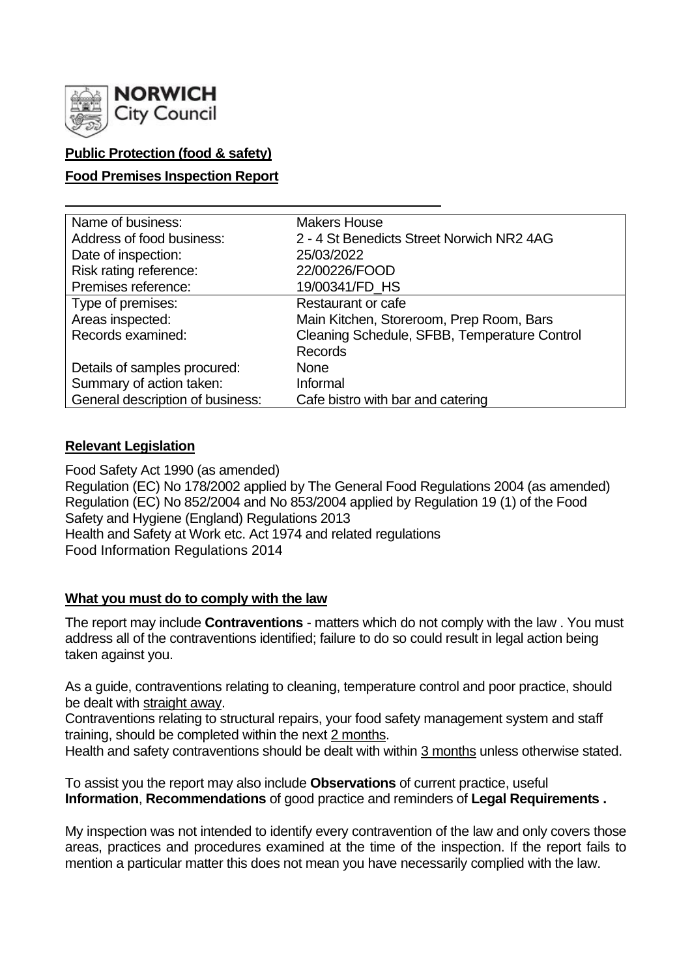

## **Public Protection (food & safety)**

## **Food Premises Inspection Report**

| Name of business:                | <b>Makers House</b>                          |  |  |  |  |
|----------------------------------|----------------------------------------------|--|--|--|--|
| Address of food business:        | 2 - 4 St Benedicts Street Norwich NR2 4AG    |  |  |  |  |
| Date of inspection:              | 25/03/2022                                   |  |  |  |  |
| Risk rating reference:           | 22/00226/FOOD                                |  |  |  |  |
| Premises reference:              | 19/00341/FD HS                               |  |  |  |  |
| Type of premises:                | <b>Restaurant or cafe</b>                    |  |  |  |  |
| Areas inspected:                 | Main Kitchen, Storeroom, Prep Room, Bars     |  |  |  |  |
| Records examined:                | Cleaning Schedule, SFBB, Temperature Control |  |  |  |  |
|                                  | <b>Records</b>                               |  |  |  |  |
| Details of samples procured:     | <b>None</b>                                  |  |  |  |  |
| Summary of action taken:         | Informal                                     |  |  |  |  |
| General description of business: | Cafe bistro with bar and catering            |  |  |  |  |

### **Relevant Legislation**

Food Safety Act 1990 (as amended) Regulation (EC) No 178/2002 applied by The General Food Regulations 2004 (as amended) Regulation (EC) No 852/2004 and No 853/2004 applied by Regulation 19 (1) of the Food Safety and Hygiene (England) Regulations 2013 Health and Safety at Work etc. Act 1974 and related regulations Food Information Regulations 2014

### **What you must do to comply with the law**

The report may include **Contraventions** - matters which do not comply with the law . You must address all of the contraventions identified; failure to do so could result in legal action being taken against you.

As a guide, contraventions relating to cleaning, temperature control and poor practice, should be dealt with straight away.

Contraventions relating to structural repairs, your food safety management system and staff training, should be completed within the next 2 months.

Health and safety contraventions should be dealt with within 3 months unless otherwise stated.

To assist you the report may also include **Observations** of current practice, useful **Information**, **Recommendations** of good practice and reminders of **Legal Requirements .**

My inspection was not intended to identify every contravention of the law and only covers those areas, practices and procedures examined at the time of the inspection. If the report fails to mention a particular matter this does not mean you have necessarily complied with the law.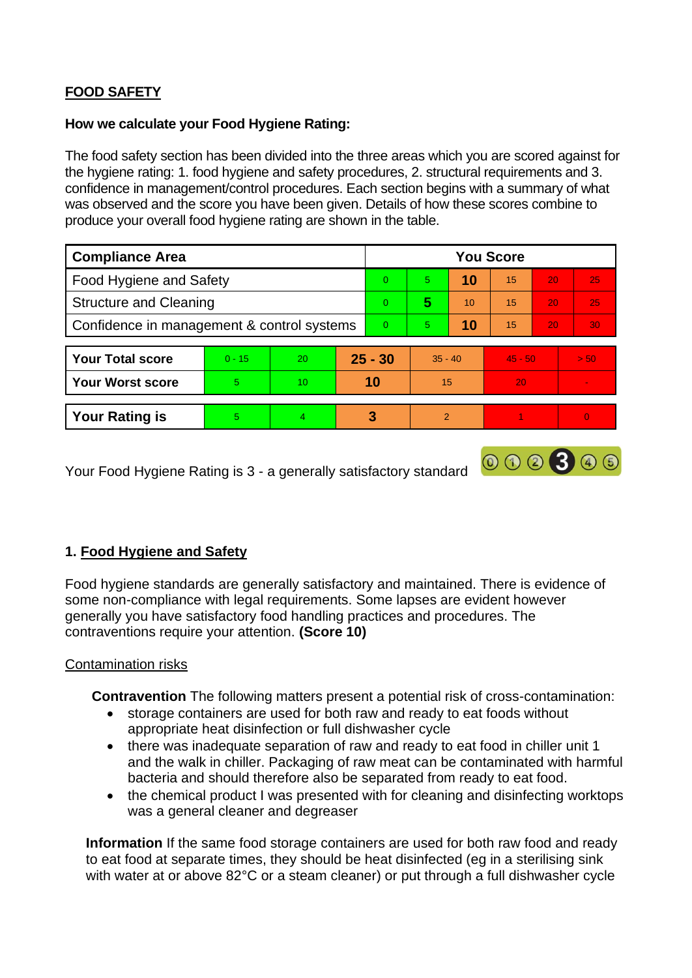# **FOOD SAFETY**

### **How we calculate your Food Hygiene Rating:**

The food safety section has been divided into the three areas which you are scored against for the hygiene rating: 1. food hygiene and safety procedures, 2. structural requirements and 3. confidence in management/control procedures. Each section begins with a summary of what was observed and the score you have been given. Details of how these scores combine to produce your overall food hygiene rating are shown in the table.

| <b>Compliance Area</b>                     |          |                 |           | <b>You Score</b> |               |    |           |    |                          |  |
|--------------------------------------------|----------|-----------------|-----------|------------------|---------------|----|-----------|----|--------------------------|--|
| Food Hygiene and Safety                    |          |                 |           | $\Omega$         | 5.            | 10 | 15        | 20 | 25                       |  |
| <b>Structure and Cleaning</b>              |          |                 |           | $\overline{0}$   | 5             | 10 | 15        | 20 | 25                       |  |
| Confidence in management & control systems |          |                 |           | $\overline{0}$   | 5.            | 10 | 15        | 20 | 30                       |  |
|                                            |          |                 |           |                  |               |    |           |    |                          |  |
| <b>Your Total score</b>                    | $0 - 15$ | 20              | $25 - 30$ |                  | $35 - 40$     |    | $45 - 50$ |    | > 50                     |  |
| <b>Your Worst score</b>                    | 5        | 10 <sup>°</sup> | 10        |                  | 15            |    | 20        |    | $\overline{\phantom{a}}$ |  |
|                                            |          |                 |           |                  |               |    |           |    |                          |  |
| <b>Your Rating is</b>                      | 5        | 4               |           | 3                | $\mathcal{P}$ |    |           |    | $\overline{0}$           |  |

000300

Your Food Hygiene Rating is 3 - a generally satisfactory standard

## **1. Food Hygiene and Safety**

Food hygiene standards are generally satisfactory and maintained. There is evidence of some non-compliance with legal requirements. Some lapses are evident however generally you have satisfactory food handling practices and procedures. The contraventions require your attention. **(Score 10)**

### Contamination risks

 **Contravention** The following matters present a potential risk of cross-contamination:

- storage containers are used for both raw and ready to eat foods without appropriate heat disinfection or full dishwasher cycle
- there was inadequate separation of raw and ready to eat food in chiller unit 1 and the walk in chiller. Packaging of raw meat can be contaminated with harmful bacteria and should therefore also be separated from ready to eat food.
- the chemical product I was presented with for cleaning and disinfecting worktops was a general cleaner and degreaser

**Information** If the same food storage containers are used for both raw food and ready to eat food at separate times, they should be heat disinfected (eg in a sterilising sink with water at or above 82°C or a steam cleaner) or put through a full dishwasher cycle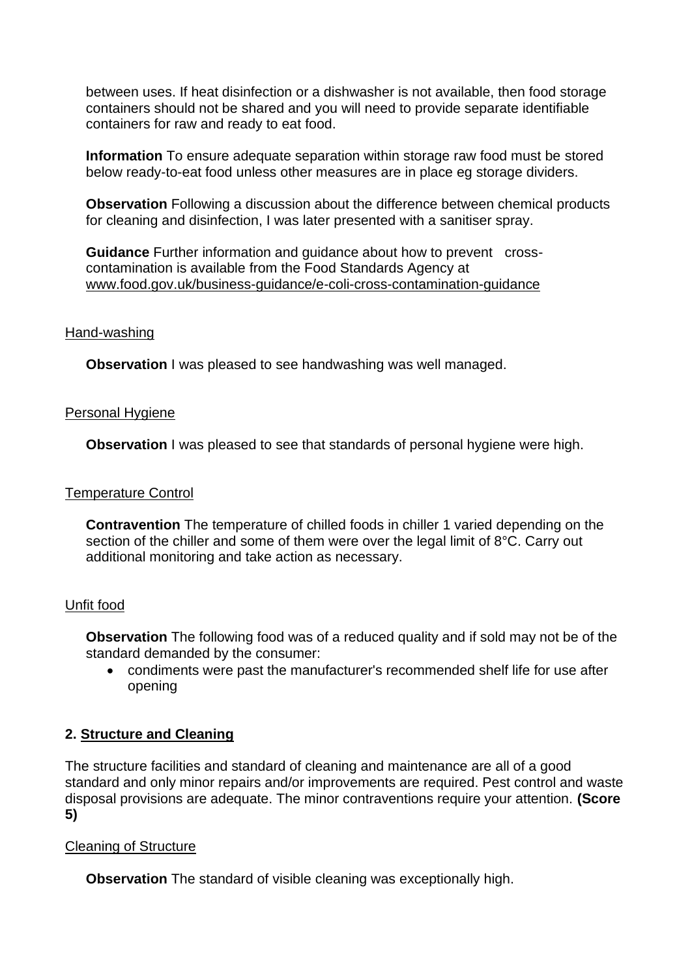between uses. If heat disinfection or a dishwasher is not available, then food storage containers should not be shared and you will need to provide separate identifiable containers for raw and ready to eat food.

**Information** To ensure adequate separation within storage raw food must be stored below ready-to-eat food unless other measures are in place eg storage dividers.

**Observation** Following a discussion about the difference between chemical products for cleaning and disinfection, I was later presented with a sanitiser spray.

**Guidance** Further information and guidance about how to prevent crosscontamination is available from the Food Standards Agency at www.food.gov.uk/business-guidance/e-coli-cross-contamination-guidance

#### Hand-washing

**Observation** I was pleased to see handwashing was well managed.

#### Personal Hygiene

**Observation** I was pleased to see that standards of personal hygiene were high.

#### Temperature Control

**Contravention** The temperature of chilled foods in chiller 1 varied depending on the section of the chiller and some of them were over the legal limit of 8°C. Carry out additional monitoring and take action as necessary.

### Unfit food

**Observation** The following food was of a reduced quality and if sold may not be of the standard demanded by the consumer:

• condiments were past the manufacturer's recommended shelf life for use after opening

### **2. Structure and Cleaning**

The structure facilities and standard of cleaning and maintenance are all of a good standard and only minor repairs and/or improvements are required. Pest control and waste disposal provisions are adequate. The minor contraventions require your attention. **(Score 5)**

### Cleaning of Structure

**Observation** The standard of visible cleaning was exceptionally high.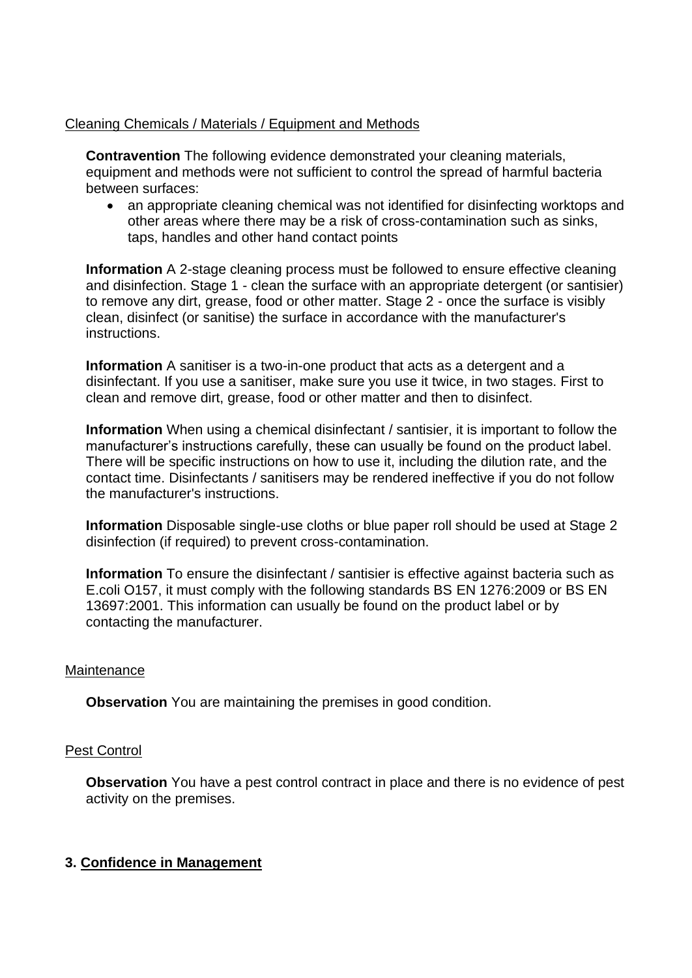### Cleaning Chemicals / Materials / Equipment and Methods

**Contravention** The following evidence demonstrated your cleaning materials, equipment and methods were not sufficient to control the spread of harmful bacteria between surfaces:

• an appropriate cleaning chemical was not identified for disinfecting worktops and other areas where there may be a risk of cross-contamination such as sinks, taps, handles and other hand contact points

**Information** A 2-stage cleaning process must be followed to ensure effective cleaning and disinfection. Stage 1 - clean the surface with an appropriate detergent (or santisier) to remove any dirt, grease, food or other matter. Stage 2 - once the surface is visibly clean, disinfect (or sanitise) the surface in accordance with the manufacturer's instructions.

**Information** A sanitiser is a two-in-one product that acts as a detergent and a disinfectant. If you use a sanitiser, make sure you use it twice, in two stages. First to clean and remove dirt, grease, food or other matter and then to disinfect.

**Information** When using a chemical disinfectant / santisier, it is important to follow the manufacturer's instructions carefully, these can usually be found on the product label. There will be specific instructions on how to use it, including the dilution rate, and the contact time. Disinfectants / sanitisers may be rendered ineffective if you do not follow the manufacturer's instructions.

**Information** Disposable single-use cloths or blue paper roll should be used at Stage 2 disinfection (if required) to prevent cross-contamination.

**Information** To ensure the disinfectant / santisier is effective against bacteria such as E.coli O157, it must comply with the following standards BS EN 1276:2009 or BS EN 13697:2001. This information can usually be found on the product label or by contacting the manufacturer.

### Maintenance

**Observation** You are maintaining the premises in good condition.

#### Pest Control

**Observation** You have a pest control contract in place and there is no evidence of pest activity on the premises.

### **3. Confidence in Management**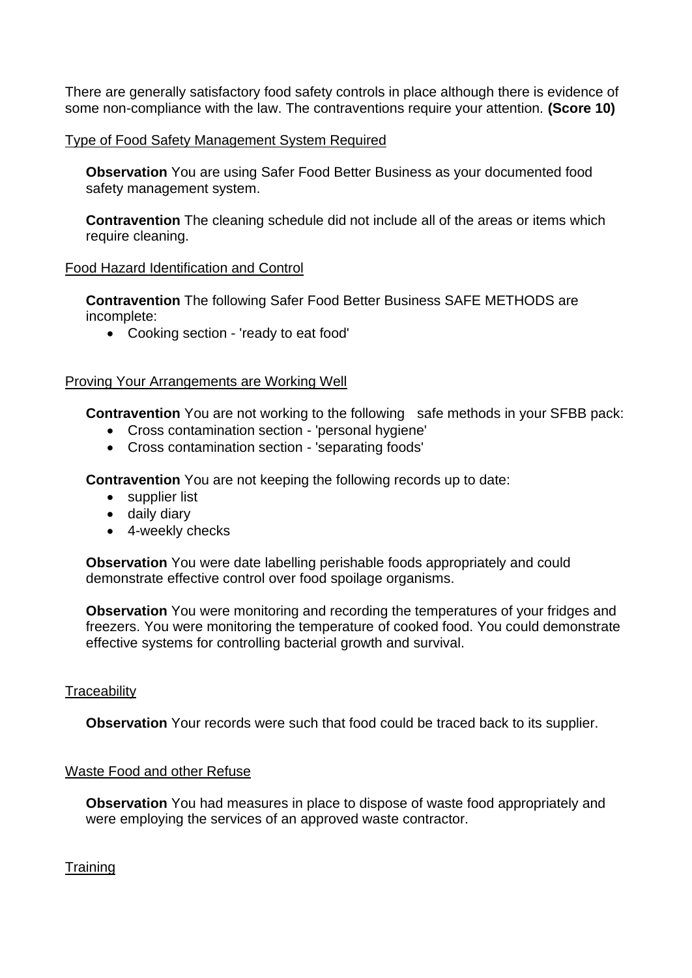There are generally satisfactory food safety controls in place although there is evidence of some non-compliance with the law. The contraventions require your attention. **(Score 10)**

### Type of Food Safety Management System Required

**Observation** You are using Safer Food Better Business as your documented food safety management system.

**Contravention** The cleaning schedule did not include all of the areas or items which require cleaning.

### Food Hazard Identification and Control

**Contravention** The following Safer Food Better Business SAFE METHODS are incomplete:

• Cooking section - 'ready to eat food'

## Proving Your Arrangements are Working Well

**Contravention** You are not working to the following safe methods in your SFBB pack:

- Cross contamination section 'personal hygiene'
- Cross contamination section 'separating foods'

**Contravention** You are not keeping the following records up to date:

- supplier list
- daily diary
- 4-weekly checks

**Observation** You were date labelling perishable foods appropriately and could demonstrate effective control over food spoilage organisms.

**Observation** You were monitoring and recording the temperatures of your fridges and freezers. You were monitoring the temperature of cooked food. You could demonstrate effective systems for controlling bacterial growth and survival.

### **Traceability**

**Observation** Your records were such that food could be traced back to its supplier.

### Waste Food and other Refuse

**Observation** You had measures in place to dispose of waste food appropriately and were employing the services of an approved waste contractor.

**Training**